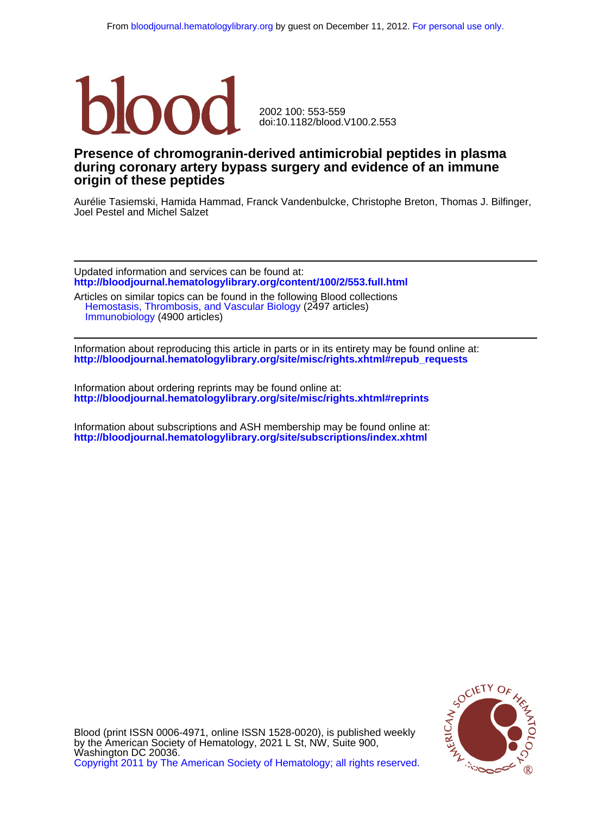

doi:10.1182/blood.V100.2.553 2002 100: 553-559

# **origin of these peptides during coronary artery bypass surgery and evidence of an immune Presence of chromogranin-derived antimicrobial peptides in plasma**

Joel Pestel and Michel Salzet Aurélie Tasiemski, Hamida Hammad, Franck Vandenbulcke, Christophe Breton, Thomas J. Bilfinger,

**<http://bloodjournal.hematologylibrary.org/content/100/2/553.full.html>** Updated information and services can be found at:

 [Immunobiology](http://bloodjournal.hematologylibrary.org/cgi/collection/immunobiology) (4900 articles) [Hemostasis, Thrombosis, and Vascular Biology](http://bloodjournal.hematologylibrary.org/cgi/collection/hemostasis_thrombosis_and_vascular_biology) (2497 articles) Articles on similar topics can be found in the following Blood collections

**[http://bloodjournal.hematologylibrary.org/site/misc/rights.xhtml#repub\\_requests](http://bloodjournal.hematologylibrary.org/site/misc/rights.xhtml#repub_requests)** Information about reproducing this article in parts or in its entirety may be found online at:

**<http://bloodjournal.hematologylibrary.org/site/misc/rights.xhtml#reprints>** Information about ordering reprints may be found online at:

**<http://bloodjournal.hematologylibrary.org/site/subscriptions/index.xhtml>** Information about subscriptions and ASH membership may be found online at:



[Copyright 2011 by The American Society of Hematology; all rights reserved.](http://bloodjournal.hematologylibrary.org/subscriptions/ToS.dtl) Washington DC 20036. by the American Society of Hematology, 2021 L St, NW, Suite 900, Blood (print ISSN 0006-4971, online ISSN 1528-0020), is published weekly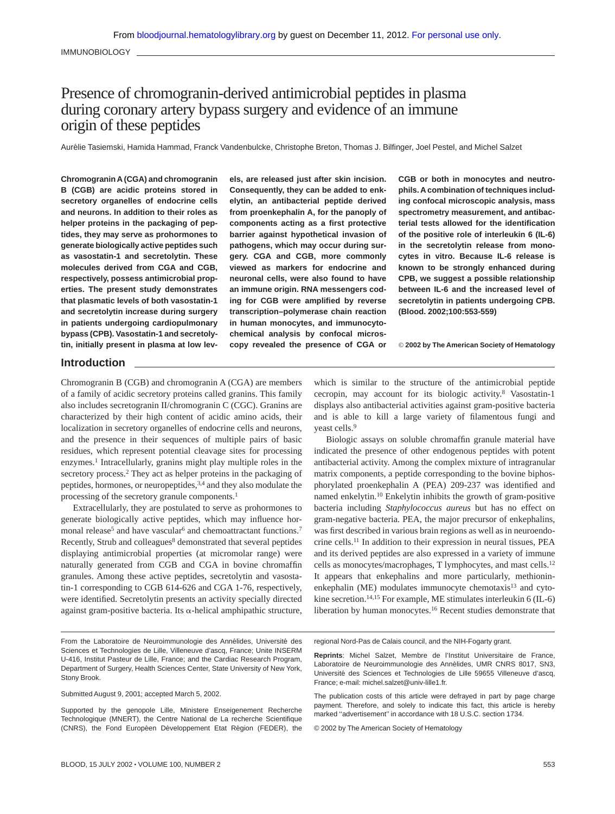IMMUNOBIOLOGY

# Presence of chromogranin-derived antimicrobial peptides in plasma during coronary artery bypass surgery and evidence of an immune origin of these peptides

Aurélie Tasiemski, Hamida Hammad, Franck Vandenbulcke, Christophe Breton, Thomas J. Bilfinger, Joel Pestel, and Michel Salzet

**Chromogranin A (CGA) and chromogranin B (CGB) are acidic proteins stored in secretory organelles of endocrine cells and neurons. In addition to their roles as helper proteins in the packaging of peptides, they may serve as prohormones to generate biologically active peptides such as vasostatin-1 and secretolytin. These molecules derived from CGA and CGB, respectively, possess antimicrobial properties. The present study demonstrates that plasmatic levels of both vasostatin-1 and secretolytin increase during surgery in patients undergoing cardiopulmonary bypass (CPB). Vasostatin-1 and secretolytin, initially present in plasma at low lev-** **els, are released just after skin incision. Consequently, they can be added to enkelytin, an antibacterial peptide derived from proenkephalin A, for the panoply of components acting as a first protective barrier against hypothetical invasion of pathogens, which may occur during surgery. CGA and CGB, more commonly viewed as markers for endocrine and neuronal cells, were also found to have an immune origin. RNA messengers coding for CGB were amplified by reverse transcription–polymerase chain reaction in human monocytes, and immunocytochemical analysis by confocal microscopy revealed the presence of CGA or**

**CGB or both in monocytes and neutrophils. A combination of techniques including confocal microscopic analysis, mass spectrometry measurement, and antibacterial tests allowed for the identification of the positive role of interleukin 6 (IL-6) in the secretolytin release from monocytes in vitro. Because IL-6 release is known to be strongly enhanced during CPB, we suggest a possible relationship between IL-6 and the increased level of secretolytin in patients undergoing CPB. (Blood. 2002;100:553-559)**

© **2002 by The American Society of Hematology**

# **Introduction**

Chromogranin B (CGB) and chromogranin A (CGA) are members of a family of acidic secretory proteins called granins. This family also includes secretogranin II/chromogranin C (CGC). Granins are characterized by their high content of acidic amino acids, their localization in secretory organelles of endocrine cells and neurons, and the presence in their sequences of multiple pairs of basic residues, which represent potential cleavage sites for processing enzymes.<sup>1</sup> Intracellularly, granins might play multiple roles in the secretory process.<sup>2</sup> They act as helper proteins in the packaging of peptides, hormones, or neuropeptides,<sup>3,4</sup> and they also modulate the processing of the secretory granule components.1

Extracellularly, they are postulated to serve as prohormones to generate biologically active peptides, which may influence hormonal release<sup>5</sup> and have vascular<sup>6</sup> and chemoattractant functions.<sup>7</sup> Recently, Strub and colleagues<sup>8</sup> demonstrated that several peptides displaying antimicrobial properties (at micromolar range) were naturally generated from CGB and CGA in bovine chromaffin granules. Among these active peptides, secretolytin and vasostatin-1 corresponding to CGB 614-626 and CGA 1-76, respectively, were identified. Secretolytin presents an activity specially directed against gram-positive bacteria. Its  $\alpha$ -helical amphipathic structure,

From the Laboratoire de Neuroimmunologie des Annélides, Université des Sciences et Technologies de Lille, Villeneuve d'ascq, France; Unite INSERM U-416, Institut Pasteur de Lille, France; and the Cardiac Research Program, Department of Surgery, Health Sciences Center, State University of New York, Stony Brook.

Submitted August 9, 2001; accepted March 5, 2002.

Supported by the genopole Lille, Ministere Enseigenement Recherche Technologique (MNERT), the Centre National de La recherche Scientifique (CNRS), the Fond Européen Développement Etat Région (FEDER), the which is similar to the structure of the antimicrobial peptide cecropin, may account for its biologic activity.8 Vasostatin-1 displays also antibacterial activities against gram-positive bacteria and is able to kill a large variety of filamentous fungi and yeast cells.9

Biologic assays on soluble chromaffin granule material have indicated the presence of other endogenous peptides with potent antibacterial activity. Among the complex mixture of intragranular matrix components, a peptide corresponding to the bovine biphosphorylated proenkephalin A (PEA) 209-237 was identified and named enkelytin.10 Enkelytin inhibits the growth of gram-positive bacteria including *Staphylococcus aureus* but has no effect on gram-negative bacteria. PEA, the major precursor of enkephalins, was first described in various brain regions as well as in neuroendocrine cells.11 In addition to their expression in neural tissues, PEA and its derived peptides are also expressed in a variety of immune cells as monocytes/macrophages, T lymphocytes, and mast cells.12 It appears that enkephalins and more particularly, methioninenkephalin (ME) modulates immunocyte chemotaxis<sup>13</sup> and cytokine secretion.<sup>14,15</sup> For example, ME stimulates interleukin 6 (IL-6) liberation by human monocytes.16 Recent studies demonstrate that

regional Nord-Pas de Calais council, and the NIH-Fogarty grant.

**Reprints**: Michel Salzet, Membre de l'Institut Universitaire de France, Laboratoire de Neuroimmunologie des Annélides, UMR CNRS 8017, SN3, Université des Sciences et Technologies de Lille 59655 Villeneuve d'ascq, France; e-mail: michel.salzet@univ-lille1.fr.

The publication costs of this article were defrayed in part by page charge payment. Therefore, and solely to indicate this fact, this article is hereby marked "advertisement" in accordance with 18 U.S.C. section 1734.

© 2002 by The American Society of Hematology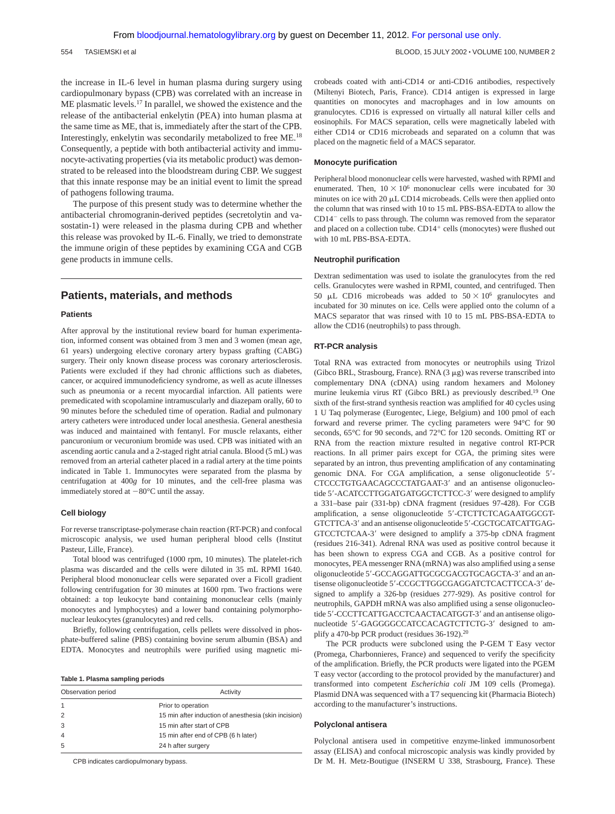the increase in IL-6 level in human plasma during surgery using cardiopulmonary bypass (CPB) was correlated with an increase in ME plasmatic levels.17 In parallel, we showed the existence and the release of the antibacterial enkelytin (PEA) into human plasma at the same time as ME, that is, immediately after the start of the CPB. Interestingly, enkelytin was secondarily metabolized to free ME.18 Consequently, a peptide with both antibacterial activity and immunocyte-activating properties (via its metabolic product) was demonstrated to be released into the bloodstream during CBP. We suggest that this innate response may be an initial event to limit the spread of pathogens following trauma.

The purpose of this present study was to determine whether the antibacterial chromogranin-derived peptides (secretolytin and vasostatin-1) were released in the plasma during CPB and whether this release was provoked by IL-6. Finally, we tried to demonstrate the immune origin of these peptides by examining CGA and CGB gene products in immune cells.

# **Patients, materials, and methods**

#### **Patients**

After approval by the institutional review board for human experimentation, informed consent was obtained from 3 men and 3 women (mean age, 61 years) undergoing elective coronary artery bypass grafting (CABG) surgery. Their only known disease process was coronary arteriosclerosis. Patients were excluded if they had chronic afflictions such as diabetes, cancer, or acquired immunodeficiency syndrome, as well as acute illnesses such as pneumonia or a recent myocardial infarction. All patients were premedicated with scopolamine intramuscularly and diazepam orally, 60 to 90 minutes before the scheduled time of operation. Radial and pulmonary artery catheters were introduced under local anesthesia. General anesthesia was induced and maintained with fentanyl. For muscle relaxants, either pancuronium or vecuronium bromide was used. CPB was initiated with an ascending aortic canula and a 2-staged right atrial canula. Blood (5 mL) was removed from an arterial catheter placed in a radial artery at the time points indicated in Table 1. Immunocytes were separated from the plasma by centrifugation at 400*g* for 10 minutes, and the cell-free plasma was immediately stored at  $-80^{\circ}$ C until the assay.

#### **Cell biology**

For reverse transcriptase-polymerase chain reaction (RT-PCR) and confocal microscopic analysis, we used human peripheral blood cells (Institut Pasteur, Lille, France).

Total blood was centrifuged (1000 rpm, 10 minutes). The platelet-rich plasma was discarded and the cells were diluted in 35 mL RPMI 1640. Peripheral blood mononuclear cells were separated over a Ficoll gradient following centrifugation for 30 minutes at 1600 rpm. Two fractions were obtained: a top leukocyte band containing mononuclear cells (mainly monocytes and lymphocytes) and a lower band containing polymorphonuclear leukocytes (granulocytes) and red cells.

Briefly, following centrifugation, cells pellets were dissolved in phosphate-buffered saline (PBS) containing bovine serum albumin (BSA) and EDTA. Monocytes and neutrophils were purified using magnetic mi-

#### **Table 1. Plasma sampling periods**

| Activity                                             |
|------------------------------------------------------|
| Prior to operation                                   |
| 15 min after induction of anesthesia (skin incision) |
| 15 min after start of CPB                            |
| 15 min after end of CPB (6 h later)                  |
| 24 h after surgery                                   |
|                                                      |

CPB indicates cardiopulmonary bypass.

crobeads coated with anti-CD14 or anti-CD16 antibodies, respectively (Miltenyi Biotech, Paris, France). CD14 antigen is expressed in large quantities on monocytes and macrophages and in low amounts on granulocytes. CD16 is expressed on virtually all natural killer cells and eosinophils. For MACS separation, cells were magnetically labeled with either CD14 or CD16 microbeads and separated on a column that was placed on the magnetic field of a MACS separator.

#### **Monocyte purification**

Peripheral blood mononuclear cells were harvested, washed with RPMI and enumerated. Then,  $10 \times 10^6$  mononuclear cells were incubated for 30 minutes on ice with 20  $\mu$ L CD14 microbeads. Cells were then applied onto the column that was rinsed with 10 to 15 mL PBS-BSA-EDTA to allow the CD14- cells to pass through. The column was removed from the separator and placed on a collection tube. CD14<sup>+</sup> cells (monocytes) were flushed out with 10 mL PBS-BSA-EDTA.

#### **Neutrophil purification**

Dextran sedimentation was used to isolate the granulocytes from the red cells. Granulocytes were washed in RPMI, counted, and centrifuged. Then 50 µL CD16 microbeads was added to  $50 \times 10^6$  granulocytes and incubated for 30 minutes on ice. Cells were applied onto the column of a MACS separator that was rinsed with 10 to 15 mL PBS-BSA-EDTA to allow the CD16 (neutrophils) to pass through.

#### **RT-PCR analysis**

Total RNA was extracted from monocytes or neutrophils using Trizol (Gibco BRL, Strasbourg, France). RNA  $(3 \mu g)$  was reverse transcribed into complementary DNA (cDNA) using random hexamers and Moloney murine leukemia virus RT (Gibco BRL) as previously described.19 One sixth of the first-strand synthesis reaction was amplified for 40 cycles using 1 U Taq polymerase (Eurogentec, Liege, Belgium) and 100 pmol of each forward and reverse primer. The cycling parameters were 94°C for 90 seconds, 65°C for 90 seconds, and 72°C for 120 seconds. Omitting RT or RNA from the reaction mixture resulted in negative control RT-PCR reactions. In all primer pairs except for CGA, the priming sites were separated by an intron, thus preventing amplification of any contaminating genomic DNA. For CGA amplification, a sense oligonucleotide 5- CTCCCTGTGAACAGCCCTATGAAT-3' and an antisense oligonucleotide 5'-ACATCCTTGGATGATGGCTCTTCC-3' were designed to amplify a 331–base pair (331-bp) cDNA fragment (residues 97-428). For CGB amplification, a sense oligonucleotide 5'-CTCTTCTCAGAATGGCGT-GTCTTCA-3' and an antisense oligonucleotide 5'-CGCTGCATCATTGAG-GTCCTCTCAA-3' were designed to amplify a 375-bp cDNA fragment (residues 216-341). Adrenal RNA was used as positive control because it has been shown to express CGA and CGB. As a positive control for monocytes, PEA messenger RNA (mRNA) was also amplified using a sense oligonucleotide 5'-GCCAGGATTGCGCGACGTGCAGCTA-3' and an antisense oligonucleotide 5'-CCGCTTGGCGAGGATCTCACTTCCA-3' designed to amplify a 326-bp (residues 277-929). As positive control for neutrophils, GAPDH mRNA was also amplified using a sense oligonucleotide 5'-CCCTTCATTGACCTCAACTACATGGT-3' and an antisense oligonucleotide 5'-GAGGGGCCATCCACAGTCTTCTG-3' designed to amplify a 470-bp PCR product (residues 36-192).20

The PCR products were subcloned using the P-GEM T Easy vector (Promega, Charbonnieres, France) and sequenced to verify the specificity of the amplification. Briefly, the PCR products were ligated into the PGEM T easy vector (according to the protocol provided by the manufacturer) and transformed into competent *Escherichia coli* JM 109 cells (Promega). Plasmid DNA was sequenced with a T7 sequencing kit (Pharmacia Biotech) according to the manufacturer's instructions.

#### **Polyclonal antisera**

Polyclonal antisera used in competitive enzyme-linked immunosorbent assay (ELISA) and confocal microscopic analysis was kindly provided by Dr M. H. Metz-Boutigue (INSERM U 338, Strasbourg, France). These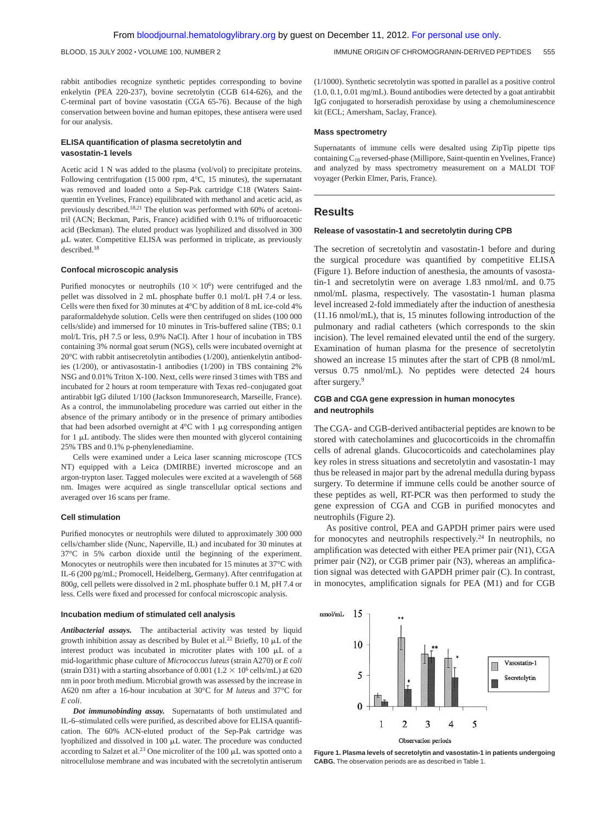rabbit antibodies recognize synthetic peptides corresponding to bovine enkelytin (PEA 220-237), bovine secretolytin (CGB 614-626), and the C-terminal part of bovine vasostatin (CGA 65-76). Because of the high conservation between bovine and human epitopes, these antisera were used for our analysis.

### **ELISA quantification of plasma secretolytin and vasostatin-1 levels**

Acetic acid 1 N was added to the plasma (vol/vol) to precipitate proteins. Following centrifugation (15 000 rpm, 4°C, 15 minutes), the supernatant was removed and loaded onto a Sep-Pak cartridge C18 (Waters Saintquentin en Yvelines, France) equilibrated with methanol and acetic acid, as previously described.18,21 The elution was performed with 60% of acetonitril (ACN; Beckman, Paris, France) acidified with 0.1% of trifluoroacetic acid (Beckman). The eluted product was lyophilized and dissolved in 300 L water. Competitive ELISA was performed in triplicate, as previously described.18

#### **Confocal microscopic analysis**

Purified monocytes or neutrophils  $(10 \times 10^6)$  were centrifuged and the pellet was dissolved in 2 mL phosphate buffer 0.1 mol/L pH 7.4 or less. Cells were then fixed for 30 minutes at 4°C by addition of 8 mL ice-cold 4% paraformaldehyde solution. Cells were then centrifuged on slides (100 000 cells/slide) and immersed for 10 minutes in Tris-buffered saline (TBS; 0.1 mol/L Tris, pH 7.5 or less, 0.9% NaCl). After 1 hour of incubation in TBS containing 3% normal goat serum (NGS), cells were incubated overnight at 20°C with rabbit antisecretolytin antibodies (1/200), antienkelytin antibodies (1/200), or antivasostatin-1 antibodies (1/200) in TBS containing 2% NSG and 0.01% Triton X-100. Next, cells were rinsed 3 times with TBS and incubated for 2 hours at room temperature with Texas red–conjugated goat antirabbit IgG diluted 1/100 (Jackson Immunoresearch, Marseille, France). As a control, the immunolabeling procedure was carried out either in the absence of the primary antibody or in the presence of primary antibodies that had been adsorbed overnight at  $4^{\circ}$ C with 1  $\mu$ g corresponding antigen for  $1 \mu L$  antibody. The slides were then mounted with glycerol containing 25% TBS and 0.1% p-phenylenediamine.

Cells were examined under a Leica laser scanning microscope (TCS NT) equipped with a Leica (DMIRBE) inverted microscope and an argon-trypton laser. Tagged molecules were excited at a wavelength of 568 nm. Images were acquired as single transcellular optical sections and averaged over 16 scans per frame.

#### **Cell stimulation**

Purified monocytes or neutrophils were diluted to approximately 300 000 cells/chamber slide (Nunc, Naperville, IL) and incubated for 30 minutes at 37°C in 5% carbon dioxide until the beginning of the experiment. Monocytes or neutrophils were then incubated for 15 minutes at 37°C with IL-6 (200 pg/mL; Promocell, Heidelberg, Germany). After centrifugation at 800*g*, cell pellets were dissolved in 2 mL phosphate buffer 0.1 M, pH 7.4 or less. Cells were fixed and processed for confocal microscopic analysis.

#### **Incubation medium of stimulated cell analysis**

*Antibacterial assays.* The antibacterial activity was tested by liquid growth inhibition assay as described by Bulet et al.<sup>22</sup> Briefly, 10  $\mu$ L of the interest product was incubated in microtiter plates with  $100 \mu L$  of a mid-logarithmic phase culture of *Micrococcus luteus* (strain A270) or *E coli* (strain D31) with a starting absorbance of 0.001 (1.2  $\times$  10<sup>6</sup> cells/mL) at 620 nm in poor broth medium. Microbial growth was assessed by the increase in A620 nm after a 16-hour incubation at 30°C for *M luteus* and 37°C for *E coli*.

*Dot immunobinding assay.* Supernatants of both unstimulated and IL-6–stimulated cells were purified, as described above for ELISA quantification. The 60% ACN-eluted product of the Sep-Pak cartridge was lyophilized and dissolved in  $100 \mu L$  water. The procedure was conducted according to Salzet et al.<sup>23</sup> One microliter of the 100  $\mu$ L was spotted onto a nitrocellulose membrane and was incubated with the secretolytin antiserum (1/1000). Synthetic secretolytin was spotted in parallel as a positive control (1.0, 0.1, 0.01 mg/mL). Bound antibodies were detected by a goat antirabbit IgG conjugated to horseradish peroxidase by using a chemoluminescence kit (ECL; Amersham, Saclay, France).

#### **Mass spectrometry**

Supernatants of immune cells were desalted using ZipTip pipette tips containing C18 reversed-phase (Millipore, Saint-quentin en Yvelines, France) and analyzed by mass spectrometry measurement on a MALDI TOF voyager (Perkin Elmer, Paris, France).

#### **Results**

#### **Release of vasostatin-1 and secretolytin during CPB**

The secretion of secretolytin and vasostatin-1 before and during the surgical procedure was quantified by competitive ELISA (Figure 1). Before induction of anesthesia, the amounts of vasostatin-1 and secretolytin were on average 1.83 nmol/mL and 0.75 nmol/mL plasma, respectively. The vasostatin-1 human plasma level increased 2-fold immediately after the induction of anesthesia (11.16 nmol/mL), that is, 15 minutes following introduction of the pulmonary and radial catheters (which corresponds to the skin incision). The level remained elevated until the end of the surgery. Examination of human plasma for the presence of secretolytin showed an increase 15 minutes after the start of CPB (8 nmol/mL versus 0.75 nmol/mL). No peptides were detected 24 hours after surgery.9

## **CGB and CGA gene expression in human monocytes and neutrophils**

The CGA- and CGB-derived antibacterial peptides are known to be stored with catecholamines and glucocorticoids in the chromaffin cells of adrenal glands. Glucocorticoids and catecholamines play key roles in stress situations and secretolytin and vasostatin-1 may thus be released in major part by the adrenal medulla during bypass surgery. To determine if immune cells could be another source of these peptides as well, RT-PCR was then performed to study the gene expression of CGA and CGB in purified monocytes and neutrophils (Figure 2).

As positive control, PEA and GAPDH primer pairs were used for monocytes and neutrophils respectively.24 In neutrophils, no amplification was detected with either PEA primer pair (N1), CGA primer pair (N2), or CGB primer pair (N3), whereas an amplification signal was detected with GAPDH primer pair (C). In contrast, in monocytes, amplification signals for PEA (M1) and for CGB



**Figure 1. Plasma levels of secretolytin and vasostatin-1 in patients undergoing CABG.** The observation periods are as described in Table 1.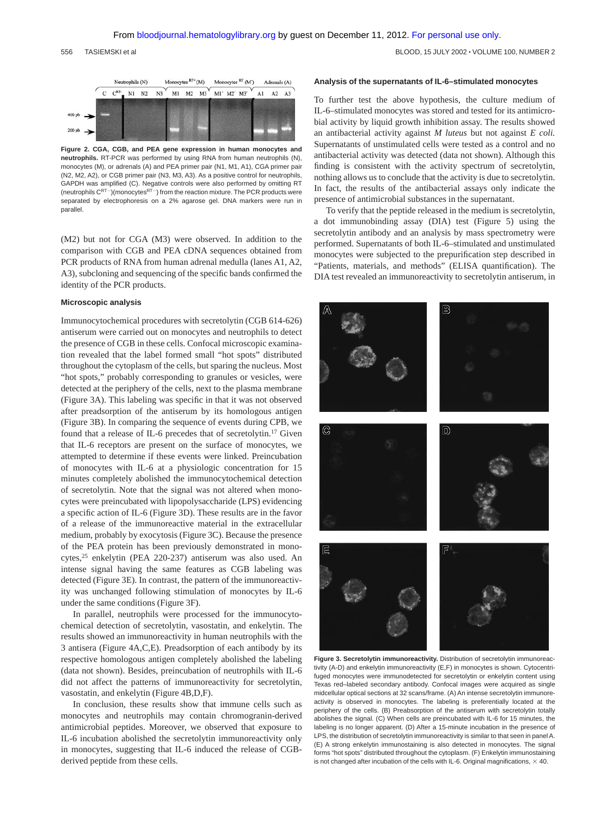556 TASIEMSKI et al BLOOD, 15 JULY 2002 VOLUME 100, NUMBER 2



**Figure 2. CGA, CGB, and PEA gene expression in human monocytes and neutrophils.** RT-PCR was performed by using RNA from human neutrophils (N), monocytes (M), or adrenals (A) and PEA primer pair (N1, M1, A1), CGA primer pair (N2, M2, A2), or CGB primer pair (N3, M3, A3). As a positive control for neutrophils, GAPDH was amplified (C). Negative controls were also performed by omitting RT (neutrophils  $C^{RT-}$ ) (monocytes $^{RT-}$ ) from the reaction mixture. The PCR products were separated by electrophoresis on a 2% agarose gel. DNA markers were run in parallel.

(M2) but not for CGA (M3) were observed. In addition to the comparison with CGB and PEA cDNA sequences obtained from PCR products of RNA from human adrenal medulla (lanes A1, A2, A3), subcloning and sequencing of the specific bands confirmed the identity of the PCR products.

#### **Microscopic analysis**

Immunocytochemical procedures with secretolytin (CGB 614-626) antiserum were carried out on monocytes and neutrophils to detect the presence of CGB in these cells. Confocal microscopic examination revealed that the label formed small "hot spots" distributed throughout the cytoplasm of the cells, but sparing the nucleus. Most "hot spots," probably corresponding to granules or vesicles, were detected at the periphery of the cells, next to the plasma membrane (Figure 3A). This labeling was specific in that it was not observed after preadsorption of the antiserum by its homologous antigen (Figure 3B). In comparing the sequence of events during CPB, we found that a release of IL-6 precedes that of secretolytin.17 Given that IL-6 receptors are present on the surface of monocytes, we attempted to determine if these events were linked. Preincubation of monocytes with IL-6 at a physiologic concentration for 15 minutes completely abolished the immunocytochemical detection of secretolytin. Note that the signal was not altered when monocytes were preincubated with lipopolysaccharide (LPS) evidencing a specific action of IL-6 (Figure 3D). These results are in the favor of a release of the immunoreactive material in the extracellular medium, probably by exocytosis (Figure 3C). Because the presence of the PEA protein has been previously demonstrated in monocytes,25 enkelytin (PEA 220-237) antiserum was also used. An intense signal having the same features as CGB labeling was detected (Figure 3E). In contrast, the pattern of the immunoreactivity was unchanged following stimulation of monocytes by IL-6 under the same conditions (Figure 3F).

In parallel, neutrophils were processed for the immunocytochemical detection of secretolytin, vasostatin, and enkelytin. The results showed an immunoreactivity in human neutrophils with the 3 antisera (Figure 4A,C,E). Preadsorption of each antibody by its respective homologous antigen completely abolished the labeling (data not shown). Besides, preincubation of neutrophils with IL-6 did not affect the patterns of immunoreactivity for secretolytin, vasostatin, and enkelytin (Figure 4B,D,F).

In conclusion, these results show that immune cells such as monocytes and neutrophils may contain chromogranin-derived antimicrobial peptides. Moreover, we observed that exposure to IL-6 incubation abolished the secretolytin immunoreactivity only in monocytes, suggesting that IL-6 induced the release of CGBderived peptide from these cells.

#### **Analysis of the supernatants of IL-6–stimulated monocytes**

To further test the above hypothesis, the culture medium of IL-6–stimulated monocytes was stored and tested for its antimicrobial activity by liquid growth inhibition assay. The results showed an antibacterial activity against *M luteus* but not against *E coli.* Supernatants of unstimulated cells were tested as a control and no antibacterial activity was detected (data not shown). Although this finding is consistent with the activity spectrum of secretolytin, nothing allows us to conclude that the activity is due to secretolytin. In fact, the results of the antibacterial assays only indicate the presence of antimicrobial substances in the supernatant.

To verify that the peptide released in the medium is secretolytin, a dot immunobinding assay (DIA) test (Figure 5) using the secretolytin antibody and an analysis by mass spectrometry were performed. Supernatants of both IL-6–stimulated and unstimulated monocytes were subjected to the prepurification step described in "Patients, materials, and methods" (ELISA quantification). The DIA test revealed an immunoreactivity to secretolytin antiserum, in



**Figure 3. Secretolytin immunoreactivity.** Distribution of secretolytin immunoreactivity (A-D) and enkelytin immunoreactivity (E,F) in monocytes is shown. Cytocentrifuged monocytes were immunodetected for secretolytin or enkelytin content using Texas red–labeled secondary antibody. Confocal images were acquired as single midcellular optical sections at 32 scans/frame. (A) An intense secretolytin immunoreactivity is observed in monocytes. The labeling is preferentially located at the periphery of the cells. (B) Preabsorption of the antiserum with secretolytin totally abolishes the signal. (C) When cells are preincubated with IL-6 for 15 minutes, the labeling is no longer apparent. (D) After a 15-minute incubation in the presence of LPS, the distribution of secretolytin immunoreactivity is similar to that seen in panel A. (E) A strong enkelytin immunostaining is also detected in monocytes. The signal forms "hot spots" distributed throughout the cytoplasm. (F) Enkelytin immunostaining is not changed after incubation of the cells with IL-6. Original magnifications,  $\times$  40.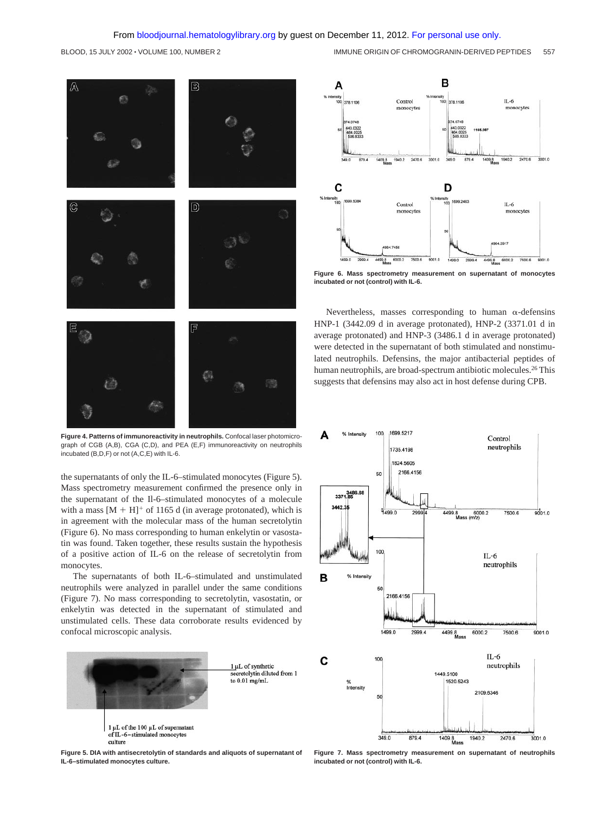# From [bloodjournal.hematologylibrary.org](http://bloodjournal.hematologylibrary.org/) by guest on December 11, 2012. [For personal use only.](http://bloodjournal.hematologylibrary.org/subscriptions/ToS.dtl)



**Figure 4. Patterns of immunoreactivity in neutrophils.** Confocal laser photomicrograph of CGB (A,B), CGA (C,D), and PEA (E,F) immunoreactivity on neutrophils incubated (B,D,F) or not (A,C,E) with IL-6.

the supernatants of only the IL-6–stimulated monocytes (Figure 5). Mass spectrometry measurement confirmed the presence only in the supernatant of the Il-6–stimulated monocytes of a molecule with a mass  $[M + H]^+$  of 1165 d (in average protonated), which is in agreement with the molecular mass of the human secretolytin (Figure 6). No mass corresponding to human enkelytin or vasostatin was found. Taken together, these results sustain the hypothesis of a positive action of IL-6 on the release of secretolytin from monocytes.

The supernatants of both IL-6–stimulated and unstimulated neutrophils were analyzed in parallel under the same conditions (Figure 7). No mass corresponding to secretolytin, vasostatin, or enkelytin was detected in the supernatant of stimulated and unstimulated cells. These data corroborate results evidenced by confocal microscopic analysis.



**Figure 5. DIA with antisecretolytin of standards and aliquots of supernatant of IL-6–stimulated monocytes culture.**



**Figure 6. Mass spectrometry measurement on supernatant of monocytes incubated or not (control) with IL-6.**

Nevertheless, masses corresponding to human  $\alpha$ -defensins HNP-1 (3442.09 d in average protonated), HNP-2 (3371.01 d in average protonated) and HNP-3 (3486.1 d in average protonated) were detected in the supernatant of both stimulated and nonstimulated neutrophils. Defensins, the major antibacterial peptides of human neutrophils, are broad-spectrum antibiotic molecules.<sup>26</sup> This suggests that defensins may also act in host defense during CPB.



**Figure 7. Mass spectrometry measurement on supernatant of neutrophils incubated or not (control) with IL-6.**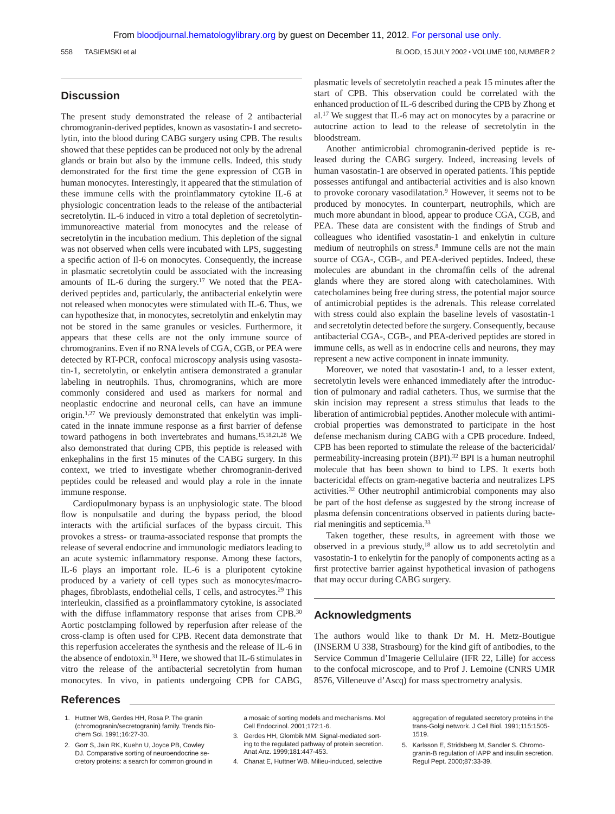# **Discussion**

The present study demonstrated the release of 2 antibacterial chromogranin-derived peptides, known as vasostatin-1 and secretolytin, into the blood during CABG surgery using CPB. The results showed that these peptides can be produced not only by the adrenal glands or brain but also by the immune cells. Indeed, this study demonstrated for the first time the gene expression of CGB in human monocytes. Interestingly, it appeared that the stimulation of these immune cells with the proinflammatory cytokine IL-6 at physiologic concentration leads to the release of the antibacterial secretolytin. IL-6 induced in vitro a total depletion of secretolytinimmunoreactive material from monocytes and the release of secretolytin in the incubation medium. This depletion of the signal was not observed when cells were incubated with LPS, suggesting a specific action of Il-6 on monocytes. Consequently, the increase in plasmatic secretolytin could be associated with the increasing amounts of IL-6 during the surgery.17 We noted that the PEAderived peptides and, particularly, the antibacterial enkelytin were not released when monocytes were stimulated with IL-6. Thus, we can hypothesize that, in monocytes, secretolytin and enkelytin may not be stored in the same granules or vesicles. Furthermore, it appears that these cells are not the only immune source of chromogranins. Even if no RNA levels of CGA, CGB, or PEA were detected by RT-PCR, confocal microscopy analysis using vasostatin-1, secretolytin, or enkelytin antisera demonstrated a granular labeling in neutrophils. Thus, chromogranins, which are more commonly considered and used as markers for normal and neoplastic endocrine and neuronal cells, can have an immune origin.1,27 We previously demonstrated that enkelytin was implicated in the innate immune response as a first barrier of defense toward pathogens in both invertebrates and humans.15,18,21,28 We also demonstrated that during CPB, this peptide is released with enkephalins in the first 15 minutes of the CABG surgery. In this context, we tried to investigate whether chromogranin-derived peptides could be released and would play a role in the innate immune response.

Cardiopulmonary bypass is an unphysiologic state. The blood flow is nonpulsatile and during the bypass period, the blood interacts with the artificial surfaces of the bypass circuit. This provokes a stress- or trauma-associated response that prompts the release of several endocrine and immunologic mediators leading to an acute systemic inflammatory response. Among these factors, IL-6 plays an important role. IL-6 is a pluripotent cytokine produced by a variety of cell types such as monocytes/macrophages, fibroblasts, endothelial cells, T cells, and astrocytes.29 This interleukin, classified as a proinflammatory cytokine, is associated with the diffuse inflammatory response that arises from CPB.<sup>30</sup> Aortic postclamping followed by reperfusion after release of the cross-clamp is often used for CPB. Recent data demonstrate that this reperfusion accelerates the synthesis and the release of IL-6 in the absence of endotoxin.31 Here, we showed that IL-6 stimulates in vitro the release of the antibacterial secretolytin from human monocytes. In vivo, in patients undergoing CPB for CABG, plasmatic levels of secretolytin reached a peak 15 minutes after the start of CPB. This observation could be correlated with the enhanced production of IL-6 described during the CPB by Zhong et al.17 We suggest that IL-6 may act on monocytes by a paracrine or autocrine action to lead to the release of secretolytin in the bloodstream.

Another antimicrobial chromogranin-derived peptide is released during the CABG surgery. Indeed, increasing levels of human vasostatin-1 are observed in operated patients. This peptide possesses antifungal and antibacterial activities and is also known to provoke coronary vasodilatation.<sup>9</sup> However, it seems not to be produced by monocytes. In counterpart, neutrophils, which are much more abundant in blood, appear to produce CGA, CGB, and PEA. These data are consistent with the findings of Strub and colleagues who identified vasostatin-1 and enkelytin in culture medium of neutrophils on stress.<sup>8</sup> Immune cells are not the main source of CGA-, CGB-, and PEA-derived peptides. Indeed, these molecules are abundant in the chromaffin cells of the adrenal glands where they are stored along with catecholamines. With catecholamines being free during stress, the potential major source of antimicrobial peptides is the adrenals. This release correlated with stress could also explain the baseline levels of vasostatin-1 and secretolytin detected before the surgery. Consequently, because antibacterial CGA-, CGB-, and PEA-derived peptides are stored in immune cells, as well as in endocrine cells and neurons, they may represent a new active component in innate immunity.

Moreover, we noted that vasostatin-1 and, to a lesser extent, secretolytin levels were enhanced immediately after the introduction of pulmonary and radial catheters. Thus, we surmise that the skin incision may represent a stress stimulus that leads to the liberation of antimicrobial peptides. Another molecule with antimicrobial properties was demonstrated to participate in the host defense mechanism during CABG with a CPB procedure. Indeed, CPB has been reported to stimulate the release of the bactericidal/ permeability-increasing protein (BPI).32 BPI is a human neutrophil molecule that has been shown to bind to LPS. It exerts both bactericidal effects on gram-negative bacteria and neutralizes LPS activities.32 Other neutrophil antimicrobial components may also be part of the host defense as suggested by the strong increase of plasma defensin concentrations observed in patients during bacterial meningitis and septicemia.33

Taken together, these results, in agreement with those we observed in a previous study,18 allow us to add secretolytin and vasostatin-1 to enkelytin for the panoply of components acting as a first protective barrier against hypothetical invasion of pathogens that may occur during CABG surgery.

# **Acknowledgments**

The authors would like to thank Dr M. H. Metz-Boutigue (INSERM U 338, Strasbourg) for the kind gift of antibodies, to the Service Commun d'Imagerie Cellulaire (IFR 22, Lille) for access to the confocal microscope, and to Prof J. Lemoine (CNRS UMR 8576, Villeneuve d'Ascq) for mass spectrometry analysis.

# **References**

- 1. Huttner WB, Gerdes HH, Rosa P. The granin (chromogranin/secretogranin) family. Trends Biochem Sci. 1991;16:27-30.
- 2. Gorr S, Jain RK, Kuehn U, Joyce PB, Cowley DJ. Comparative sorting of neuroendocrine secretory proteins: a search for common ground in

a mosaic of sorting models and mechanisms. Mol Cell Endocrinol. 2001;172:1-6.

- 3. Gerdes HH, Glombik MM. Signal-mediated sorting to the regulated pathway of protein secretion. Anat Anz. 1999;181:447-453.
- 4. Chanat E, Huttner WB. Milieu-induced, selective

aggregation of regulated secretory proteins in the trans-Golgi network. J Cell Biol. 1991;115:1505- 1519.

<sup>5.</sup> Karlsson E, Stridsberg M, Sandler S. Chromogranin-B regulation of IAPP and insulin secretion. Regul Pept. 2000;87:33-39.